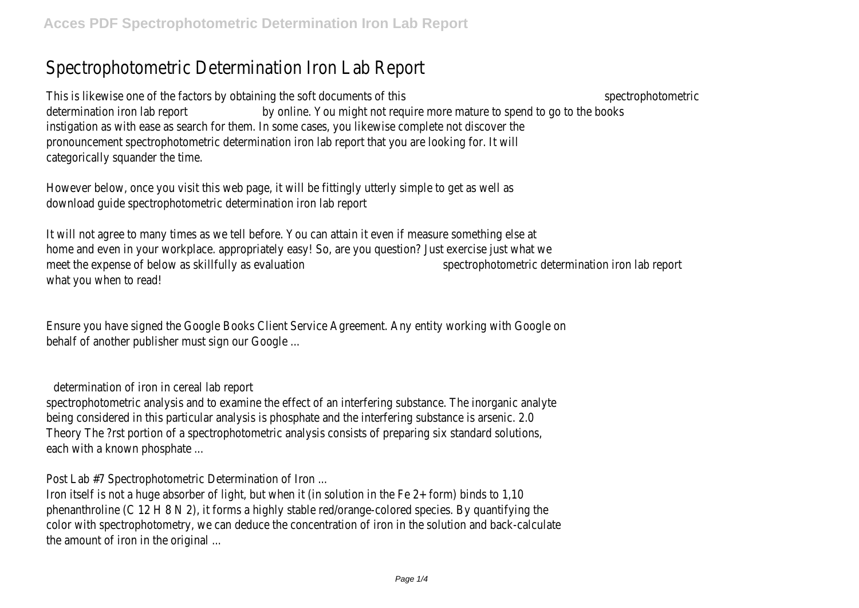# Spectrophotometric Determination Iron Lab Report

This is likewise one of the factors by obtaining the soft documents of this spectrophotometric spectrophotometric determination iron lab report **by online.** You might not require more mature to spend to go to the books instigation as with ease as search for them. In some cases, you likewise complete not discover the pronouncement spectrophotometric determination iron lab report that you are looking for. It will categorically squander the time.

However below, once you visit this web page, it will be fittingly utterly simple to get as well as download guide spectrophotometric determination iron lab report

It will not agree to many times as we tell before. You can attain it even if measure something else at home and even in your workplace. appropriately easy! So, are you question? Just exercise just what we meet the expense of below as skillfully as evaluation spectrophotometric determination iron lab report what you when to read!

Ensure you have signed the Google Books Client Service Agreement. Any entity working with Google on behalf of another publisher must sign our Google ...

determination of iron in cereal lab report

spectrophotometric analysis and to examine the effect of an interfering substance. The inorganic analyte being considered in this particular analysis is phosphate and the interfering substance is arsenic. 2.0 Theory The ?rst portion of a spectrophotometric analysis consists of preparing six standard solutions, each with a known phosphate ...

Post Lab #7 Spectrophotometric Determination of Iron ...

Iron itself is not a huge absorber of light, but when it (in solution in the Fe 2+ form) binds to 1,10 phenanthroline (C 12 H 8 N 2), it forms a highly stable red/orange-colored species. By quantifying the color with spectrophotometry, we can deduce the concentration of iron in the solution and back-calculate the amount of iron in the original ...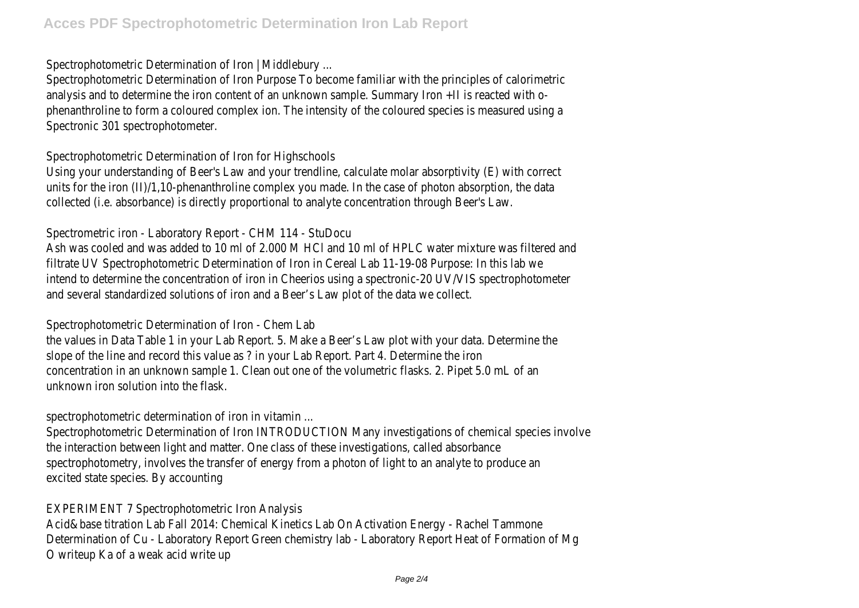### Spectrophotometric Determination of Iron | Middlebury ...

Spectrophotometric Determination of Iron Purpose To become familiar with the principles of calorimetric analysis and to determine the iron content of an unknown sample. Summary Iron +II is reacted with ophenanthroline to form a coloured complex ion. The intensity of the coloured species is measured using a Spectronic 301 spectrophotometer.

Spectrophotometric Determination of Iron for Highschools

Using your understanding of Beer's Law and your trendline, calculate molar absorptivity (E) with correct units for the iron (II)/1,10-phenanthroline complex you made. In the case of photon absorption, the data collected (i.e. absorbance) is directly proportional to analyte concentration through Beer's Law.

## Spectrometric iron - Laboratory Report - CHM 114 - StuDocu

Ash was cooled and was added to 10 ml of 2.000 M HCl and 10 ml of HPLC water mixture was filtered and filtrate UV Spectrophotometric Determination of Iron in Cereal Lab 11-19-08 Purpose: In this lab we intend to determine the concentration of iron in Cheerios using a spectronic-20 UV/VIS spectrophotometer and several standardized solutions of iron and a Beer's Law plot of the data we collect.

Spectrophotometric Determination of Iron - Chem Lab

the values in Data Table 1 in your Lab Report. 5. Make a Beer's Law plot with your data. Determine the slope of the line and record this value as ? in your Lab Report. Part 4. Determine the iron concentration in an unknown sample 1. Clean out one of the volumetric flasks. 2. Pipet 5.0 mL of an unknown iron solution into the flask.

spectrophotometric determination of iron in vitamin ...

Spectrophotometric Determination of Iron INTRODUCTION Many investigations of chemical species involve the interaction between light and matter. One class of these investigations, called absorbance spectrophotometry, involves the transfer of energy from a photon of light to an analyte to produce an excited state species. By accounting

EXPERIMENT 7 Spectrophotometric Iron Analysis

Acid&base titration Lab Fall 2014: Chemical Kinetics Lab On Activation Energy - Rachel Tammone Determination of Cu - Laboratory Report Green chemistry lab - Laboratory Report Heat of Formation of Mg O writeup Ka of a weak acid write up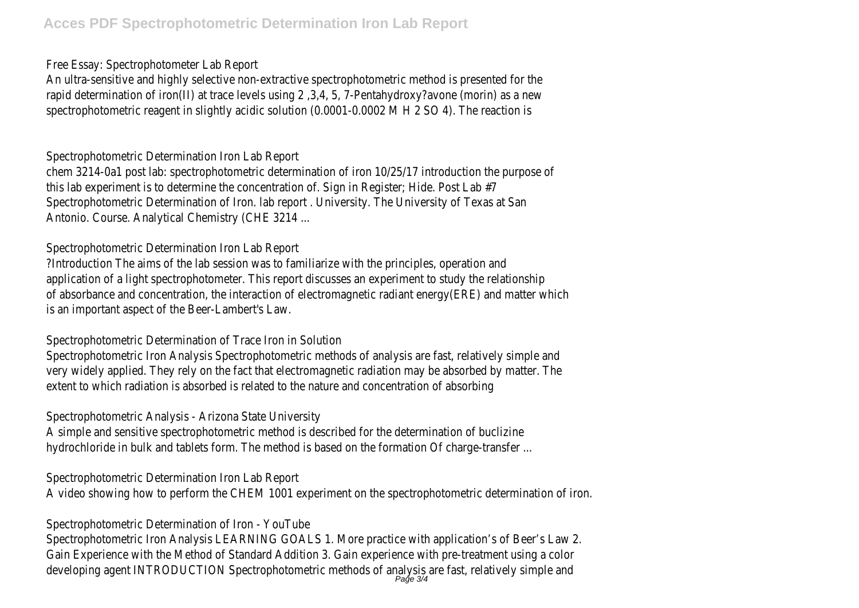Free Essay: Spectrophotometer Lab Report

An ultra-sensitive and highly selective non-extractive spectrophotometric method is presented for the rapid determination of iron(II) at trace levels using 2 ,3,4, 5, 7-Pentahydroxy?avone (morin) as a new spectrophotometric reagent in slightly acidic solution (0.0001-0.0002 M H 2 SO 4). The reaction is

Spectrophotometric Determination Iron Lab Report

chem 3214-0a1 post lab: spectrophotometric determination of iron 10/25/17 introduction the purpose of this lab experiment is to determine the concentration of. Sign in Register; Hide. Post Lab #7 Spectrophotometric Determination of Iron. lab report . University. The University of Texas at San Antonio. Course. Analytical Chemistry (CHE 3214 ...

Spectrophotometric Determination Iron Lab Report

?Introduction The aims of the lab session was to familiarize with the principles, operation and application of a light spectrophotometer. This report discusses an experiment to study the relationship of absorbance and concentration, the interaction of electromagnetic radiant energy(ERE) and matter which is an important aspect of the Beer-Lambert's Law.

Spectrophotometric Determination of Trace Iron in Solution

Spectrophotometric Iron Analysis Spectrophotometric methods of analysis are fast, relatively simple and very widely applied. They rely on the fact that electromagnetic radiation may be absorbed by matter. The extent to which radiation is absorbed is related to the nature and concentration of absorbing

Spectrophotometric Analysis - Arizona State University

A simple and sensitive spectrophotometric method is described for the determination of buclizine hydrochloride in bulk and tablets form. The method is based on the formation Of charge-transfer ...

Spectrophotometric Determination Iron Lab Report

A video showing how to perform the CHEM 1001 experiment on the spectrophotometric determination of iron.

Spectrophotometric Determination of Iron - YouTube

Spectrophotometric Iron Analysis LEARNING GOALS 1. More practice with application's of Beer's Law 2. Gain Experience with the Method of Standard Addition 3. Gain experience with pre-treatment using a color developing agent INTRODUCTION Spectrophotometric methods of analysis are fast, relatively simple and<br>Page 3/4